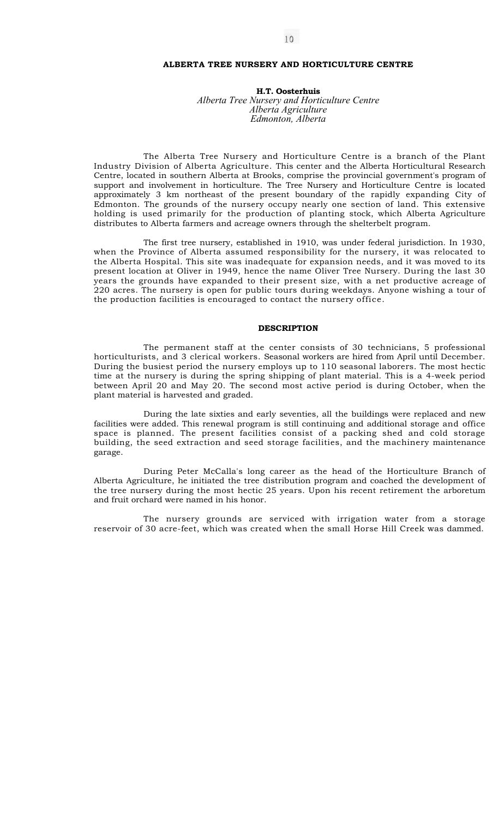### **ALBERTA TREE NURSERY AND HORTICULTURE CENTRE**

**H.T. Oosterhuis**  *Alberta Tree Nursery and Horticulture Centre Alberta Agriculture Edmonton, Alberta* 

The Alberta Tree Nursery and Horticulture Centre is a branch of the Plant Industry Division of Alberta Agriculture. This center and the Alberta Horticultural Research Centre, located in southern Alberta at Brooks, comprise the provincial government's program of support and involvement in horticulture. The Tree Nursery and Horticulture Centre is located approximately 3 km northeast of the present boundary of the rapidly expanding City of Edmonton. The grounds of the nursery occupy nearly one section of land. This extensive holding is used primarily for the production of planting stock, which Alberta Agriculture distributes to Alberta farmers and acreage owners through the shelterbelt program.

The first tree nursery, established in 1910, was under federal jurisdiction. In 1930, when the Province of Alberta assumed responsibility for the nursery, it was relocated to the Alberta Hospital. This site was inadequate for expansion needs, and it was moved to its present location at Oliver in 1949, hence the name Oliver Tree Nursery. During the last 30 years the grounds have expanded to their present size, with a net productive acreage of 220 acres. The nursery is open for public tours during weekdays. Anyone wishing a tour of the production facilities is encouraged to contact the nursery office.

## **DESCRIPTION**

The permanent staff at the center consists of 30 technicians, 5 professional horticulturists, and 3 clerical workers. Seasonal workers are hired from April until December. During the busiest period the nursery employs up to 110 seasonal laborers. The most hectic time at the nursery is during the spring shipping of plant material. This is a 4-week period between April 20 and May 20. The second most active period is during October, when the plant material is harvested and graded.

During the late sixties and early seventies, all the buildings were replaced and new facilities were added. This renewal program is still continuing and additional storage and office space is planned. The present facilities consist of a packing shed and cold storage building, the seed extraction and seed storage facilities, and the machinery maintenance garage.

During Peter McCalla's long career as the head of the Horticulture Branch of Alberta Agriculture, he initiated the tree distribution program and coached the development of the tree nursery during the most hectic 25 years. Upon his recent retirement the arboretum and fruit orchard were named in his honor.

The nursery grounds are serviced with irrigation water from a storage reservoir of 30 acre-feet, which was created when the small Horse Hill Creek was dammed.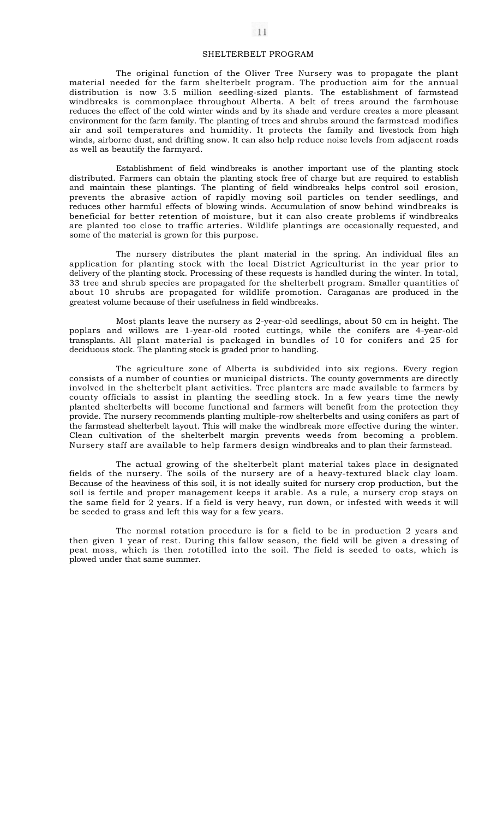## SHELTERBELT PROGRAM

The original function of the Oliver Tree Nursery was to propagate the plant material needed for the farm shelterbelt program. The production aim for the annual distribution is now 3.5 million seedling-sized plants. The establishment of farmstead windbreaks is commonplace throughout Alberta. A belt of trees around the farmhouse reduces the effect of the cold winter winds and by its shade and verdure creates a more pleasant environment for the farm family. The planting of trees and shrubs around the farmstead modifies air and soil temperatures and humidity. It protects the family and livestock from high winds, airborne dust, and drifting snow. It can also help reduce noise levels from adjacent roads as well as beautify the farmyard.

Establishment of field windbreaks is another important use of the planting stock distributed. Farmers can obtain the planting stock free of charge but are required to establish and maintain these plantings. The planting of field windbreaks helps control soil erosion, prevents the abrasive action of rapidly moving soil particles on tender seedlings, and reduces other harmful effects of blowing winds. Accumulation of snow behind windbreaks is beneficial for better retention of moisture, but it can also create problems if windbreaks are planted too close to traffic arteries. Wildlife plantings are occasionally requested, and some of the material is grown for this purpose.

The nursery distributes the plant material in the spring. An individual files an application for planting stock with the local District Agriculturist in the year prior to delivery of the planting stock. Processing of these requests is handled during the winter. In total, 33 tree and shrub species are propagated for the shelterbelt program. Smaller quantities of about 10 shrubs are propagated for wildlife promotion. Caraganas are produced in the greatest volume because of their usefulness in field windbreaks.

Most plants leave the nursery as 2-year-old seedlings, about 50 cm in height. The poplars and willows are 1-year-old rooted cuttings, while the conifers are 4-year-old transplants. All plant material is packaged in bundles of 10 for conifers and 25 for deciduous stock. The planting stock is graded prior to handling.

The agriculture zone of Alberta is subdivided into six regions. Every region consists of a number of counties or municipal districts. The county governments are directly involved in the shelterbelt plant activities. Tree planters are made available to farmers by county officials to assist in planting the seedling stock. In a few years time the newly planted shelterbelts will become functional and farmers will benefit from the protection they provide. The nursery recommends planting multiple-row shelterbelts and using conifers as part of the farmstead shelterbelt layout. This will make the windbreak more effective during the winter. Clean cultivation of the shelterbelt margin prevents weeds from becoming a problem. Nursery staff are available to help farmers design windbreaks and to plan their farmstead.

The actual growing of the shelterbelt plant material takes place in designated fields of the nursery. The soils of the nursery are of a heavy-textured black clay loam. Because of the heaviness of this soil, it is not ideally suited for nursery crop production, but the soil is fertile and proper management keeps it arable. As a rule, a nursery crop stays on the same field for 2 years. If a field is very heavy, run down, or infested with weeds it will be seeded to grass and left this way for a few years.

The normal rotation procedure is for a field to be in production 2 years and then given 1 year of rest. During this fallow season, the field will be given a dressing of peat moss, which is then rototilled into the soil. The field is seeded to oats, which is plowed under that same summer.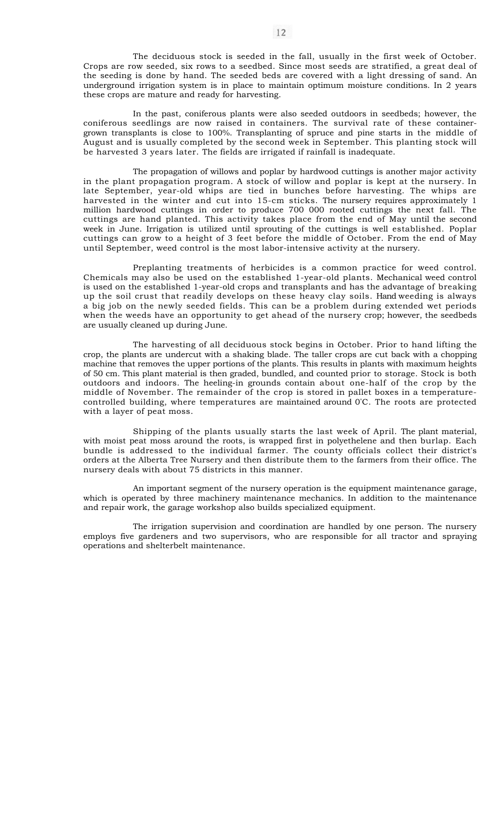The deciduous stock is seeded in the fall, usually in the first week of October. Crops are row seeded, six rows to a seedbed. Since most seeds are stratified, a great deal of the seeding is done by hand. The seeded beds are covered with a light dressing of sand. An underground irrigation system is in place to maintain optimum moisture conditions. In 2 years these crops are mature and ready for harvesting.

In the past, coniferous plants were also seeded outdoors in seedbeds; however, the coniferous seedlings are now raised in containers. The survival rate of these containergrown transplants is close to 100%. Transplanting of spruce and pine starts in the middle of August and is usually completed by the second week in September. This planting stock will be harvested 3 years later. The fields are irrigated if rainfall is inadequate.

The propagation of willows and poplar by hardwood cuttings is another major activity in the plant propagation program. A stock of willow and poplar is kept at the nursery. In late September, year-old whips are tied in bunches before harvesting. The whips are harvested in the winter and cut into 15-cm sticks. The nursery requires approximately 1 million hardwood cuttings in order to produce 700 000 rooted cuttings the next fall. The cuttings are hand planted. This activity takes place from the end of May until the second week in June. Irrigation is utilized until sprouting of the cuttings is well established. Poplar cuttings can grow to a height of 3 feet before the middle of October. From the end of May until September, weed control is the most labor-intensive activity at the nursery.

Preplanting treatments of herbicides is a common practice for weed control. Chemicals may also be used on the established 1-year-old plants. Mechanical weed control is used on the established 1-year-old crops and transplants and has the advantage of breaking up the soil crust that readily develops on these heavy clay soils. Hand weeding is always a big job on the newly seeded fields. This can be a problem during extended wet periods when the weeds have an opportunity to get ahead of the nursery crop; however, the seedbeds are usually cleaned up during June.

The harvesting of all deciduous stock begins in October. Prior to hand lifting the crop, the plants are undercut with a shaking blade. The taller crops are cut back with a chopping machine that removes the upper portions of the plants. This results in plants with maximum heights of 50 cm. This plant material is then graded, bundled, and counted prior to storage. Stock is both outdoors and indoors. The heeling-in grounds contain about one-half of the crop by the middle of November. The remainder of the crop is stored in pallet boxes in a temperaturecontrolled building, where temperatures are maintained around 0°C. The roots are protected with a layer of peat moss.

Shipping of the plants usually starts the last week of April. The plant material, with moist peat moss around the roots, is wrapped first in polyethelene and then burlap. Each bundle is addressed to the individual farmer. The county officials collect their district's orders at the Alberta Tree Nursery and then distribute them to the farmers from their office. The nursery deals with about 75 districts in this manner.

An important segment of the nursery operation is the equipment maintenance garage, which is operated by three machinery maintenance mechanics. In addition to the maintenance and repair work, the garage workshop also builds specialized equipment.

The irrigation supervision and coordination are handled by one person. The nursery employs five gardeners and two supervisors, who are responsible for all tractor and spraying operations and shelterbelt maintenance.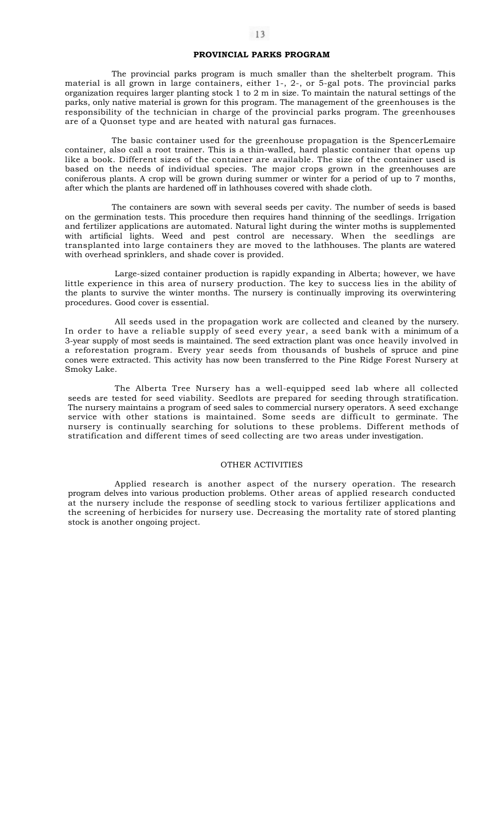# **PROVINCIAL PARKS PROGRAM**

The provincial parks program is much smaller than the shelterbelt program. This material is all grown in large containers, either 1-, 2-, or 5-gal pots. The provincial parks organization requires larger planting stock 1 to 2 m in size. To maintain the natural settings of the parks, only native material is grown for this program. The management of the greenhouses is the responsibility of the technician in charge of the provincial parks program. The greenhouses are of a Quonset type and are heated with natural gas furnaces.

The basic container used for the greenhouse propagation is the SpencerLemaire container, also call a root trainer. This is a thin-walled, hard plastic container that opens up like a book. Different sizes of the container are available. The size of the container used is based on the needs of individual species. The major crops grown in the greenhouses are coniferous plants. A crop will be grown during summer or winter for a period of up to 7 months, after which the plants are hardened off in lathhouses covered with shade cloth.

The containers are sown with several seeds per cavity. The number of seeds is based on the germination tests. This procedure then requires hand thinning of the seedlings. Irrigation and fertilizer applications are automated. Natural light during the winter moths is supplemented with artificial lights. Weed and pest control are necessary. When the seedlings are transplanted into large containers they are moved to the lathhouses. The plants are watered with overhead sprinklers, and shade cover is provided.

Large-sized container production is rapidly expanding in Alberta; however, we have little experience in this area of nursery production. The key to success lies in the ability of the plants to survive the winter months. The nursery is continually improving its overwintering procedures. Good cover is essential.

All seeds used in the propagation work are collected and cleaned by the nursery. In order to have a reliable supply of seed every year, a seed bank with a minimum of a 3-year supply of most seeds is maintained. The seed extraction plant was once heavily involved in a reforestation program. Every year seeds from thousands of bushels of spruce and pine cones were extracted. This activity has now been transferred to the Pine Ridge Forest Nursery at Smoky Lake.

The Alberta Tree Nursery has a well-equipped seed lab where all collected seeds are tested for seed viability. Seedlots are prepared for seeding through stratification. The nursery maintains a program of seed sales to commercial nursery operators. A seed exchange service with other stations is maintained. Some seeds are difficult to germinate. The nursery is continually searching for solutions to these problems. Different methods of stratification and different times of seed collecting are two areas under investigation.

#### OTHER ACTIVITIES

Applied research is another aspect of the nursery operation. The research program delves into various production problems. Other areas of applied research conducted at the nursery include the response of seedling stock to various fertilizer applications and the screening of herbicides for nursery use. Decreasing the mortality rate of stored planting stock is another ongoing project.